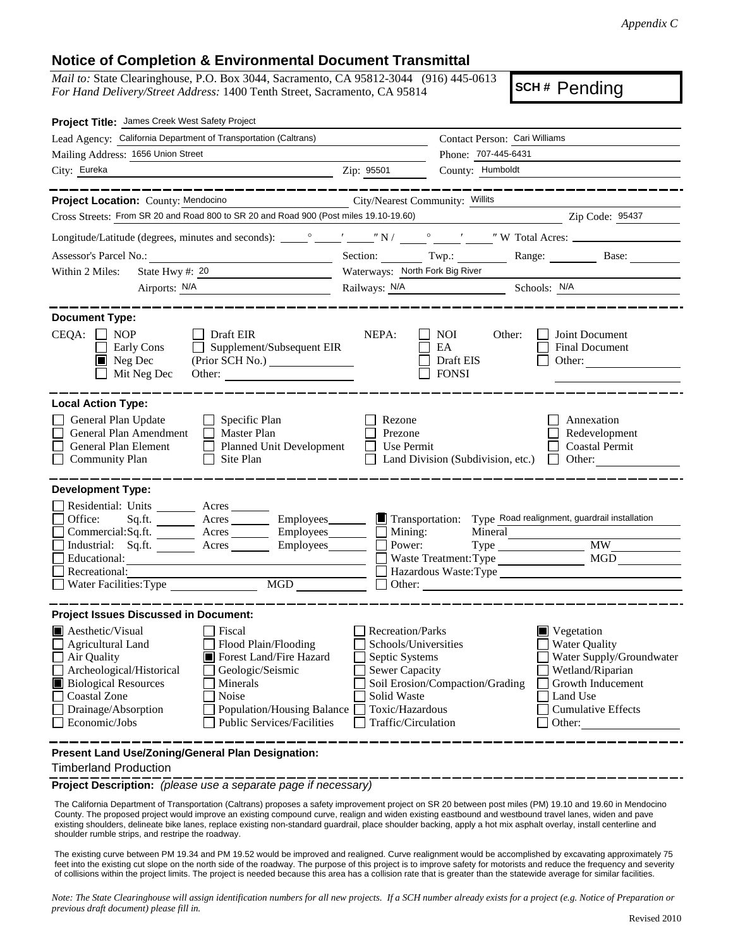## **Notice of Completion & Environmental Document Transmittal**

*Mail to:* State Clearinghouse, P.O. Box 3044, Sacramento, CA 95812-3044 (916) 445-0613 *For Hand Delivery/Street Address:* 1400 Tenth Street, Sacramento, CA 95814

**SCH #** Pending

| Project Title: James Creek West Safety Project                                                                                                                                                                                                                                                                                                                                                                   |                                                                                                                                                     |                                                  |                                                                                                                                                                           |  |
|------------------------------------------------------------------------------------------------------------------------------------------------------------------------------------------------------------------------------------------------------------------------------------------------------------------------------------------------------------------------------------------------------------------|-----------------------------------------------------------------------------------------------------------------------------------------------------|--------------------------------------------------|---------------------------------------------------------------------------------------------------------------------------------------------------------------------------|--|
| Lead Agency: California Department of Transportation (Caltrans)                                                                                                                                                                                                                                                                                                                                                  |                                                                                                                                                     | Contact Person: Cari Williams                    |                                                                                                                                                                           |  |
| Mailing Address: 1656 Union Street                                                                                                                                                                                                                                                                                                                                                                               |                                                                                                                                                     | Phone: 707-445-6431                              |                                                                                                                                                                           |  |
| City: Eureka                                                                                                                                                                                                                                                                                                                                                                                                     | Zip: 95501                                                                                                                                          | County: Humboldt                                 |                                                                                                                                                                           |  |
| ___________                                                                                                                                                                                                                                                                                                                                                                                                      |                                                                                                                                                     |                                                  |                                                                                                                                                                           |  |
| Project Location: County: Mendocino                                                                                                                                                                                                                                                                                                                                                                              | City/Nearest Community: Willits                                                                                                                     |                                                  |                                                                                                                                                                           |  |
| Cross Streets: From SR 20 and Road 800 to SR 20 and Road 900 (Post miles 19.10-19.60)                                                                                                                                                                                                                                                                                                                            |                                                                                                                                                     |                                                  | Zip Code: 95437                                                                                                                                                           |  |
|                                                                                                                                                                                                                                                                                                                                                                                                                  |                                                                                                                                                     |                                                  |                                                                                                                                                                           |  |
|                                                                                                                                                                                                                                                                                                                                                                                                                  |                                                                                                                                                     | Section: Twp.: Range: Next                       | Base:                                                                                                                                                                     |  |
| State Hwy #: $20$<br>Within 2 Miles:                                                                                                                                                                                                                                                                                                                                                                             | Waterways: North Fork Big River                                                                                                                     |                                                  |                                                                                                                                                                           |  |
| Airports: <u>N/A</u>                                                                                                                                                                                                                                                                                                                                                                                             |                                                                                                                                                     | Railways: N/A Schools: N/A                       |                                                                                                                                                                           |  |
| <b>Document Type:</b><br>$CEQA: \Box NOP$<br>Draft EIR<br>$\Box$ Supplement/Subsequent EIR<br>Early Cons<br>$\blacksquare$<br>$\blacksquare$ Neg Dec<br>Mit Neg Dec                                                                                                                                                                                                                                              | NEPA:<br>$\Box$                                                                                                                                     | NOI<br>Other:<br>EA<br>Draft EIS<br><b>FONSI</b> | Joint Document<br>Final Document<br>Other:                                                                                                                                |  |
| <b>Local Action Type:</b><br>General Plan Update<br>$\Box$ Specific Plan<br>General Plan Amendment<br>Master Plan<br>General Plan Element<br>Planned Unit Development<br><b>Community Plan</b><br>Site Plan<br>$\Box$                                                                                                                                                                                            | Rezone<br>Prezone<br>Use Permit                                                                                                                     | Land Division (Subdivision, etc.)                | Annexation<br>Redevelopment<br><b>Coastal Permit</b><br>$\Box$ Other:                                                                                                     |  |
| <b>Development Type:</b><br>Residential: Units ________ Acres _______<br>Office:<br>Sq.ft. _________ Acres _________ Employees________<br>Commercial:Sq.ft. ________ Acres _________ Employees_______<br>Industrial: Sq.ft. Acres<br>Employees________<br>Educational:<br>Recreational:<br>MGD<br>Water Facilities: Type                                                                                         | $\Box$ Mining:<br>Power:                                                                                                                            | Mineral<br>Waste Treatment: Type                 | Transportation: Type Road realignment, guardrail installation<br><b>MW</b><br>MGD<br>Hazardous Waste: Type                                                                |  |
| <b>Project Issues Discussed in Document:</b><br>Aesthetic/Visual<br>  Fiscal<br>Flood Plain/Flooding<br><b>Agricultural Land</b><br>Forest Land/Fire Hazard<br>Air Quality<br>Archeological/Historical<br>Geologic/Seismic<br><b>Biological Resources</b><br>Minerals<br><b>Coastal Zone</b><br>Noise<br>Drainage/Absorption<br>Population/Housing Balance<br><b>Public Services/Facilities</b><br>Economic/Jobs | <b>Recreation/Parks</b><br>Schools/Universities<br>Septic Systems<br><b>Sewer Capacity</b><br>Solid Waste<br>Toxic/Hazardous<br>Traffic/Circulation | Soil Erosion/Compaction/Grading                  | $\blacksquare$ Vegetation<br><b>Water Quality</b><br>Water Supply/Groundwater<br>Wetland/Riparian<br>Growth Inducement<br>Land Use<br><b>Cumulative Effects</b><br>Other: |  |
| Present Land Use/Zoning/General Plan Designation:                                                                                                                                                                                                                                                                                                                                                                |                                                                                                                                                     |                                                  |                                                                                                                                                                           |  |

Timberland Production

**Project Description:** *(please use a separate page if necessary)*

 The California Department of Transportation (Caltrans) proposes a safety improvement project on SR 20 between post miles (PM) 19.10 and 19.60 in Mendocino County. The proposed project would improve an existing compound curve, realign and widen existing eastbound and westbound travel lanes, widen and pave existing shoulders, delineate bike lanes, replace existing non-standard guardrail, place shoulder backing, apply a hot mix asphalt overlay, install centerline and shoulder rumble strips, and restripe the roadway.

The existing curve between PM 19.34 and PM 19.52 would be improved and realigned. Curve realignment would be accomplished by excavating approximately 75 feet into the existing cut slope on the north side of the roadway. The purpose of this project is to improve safety for motorists and reduce the frequency and severity of collisions within the project limits. The project is needed because this area has a collision rate that is greater than the statewide average for similar facilities.

*Note: The State Clearinghouse will assign identification numbers for all new projects. If a SCH number already exists for a project (e.g. Notice of Preparation or previous draft document) please fill in.*